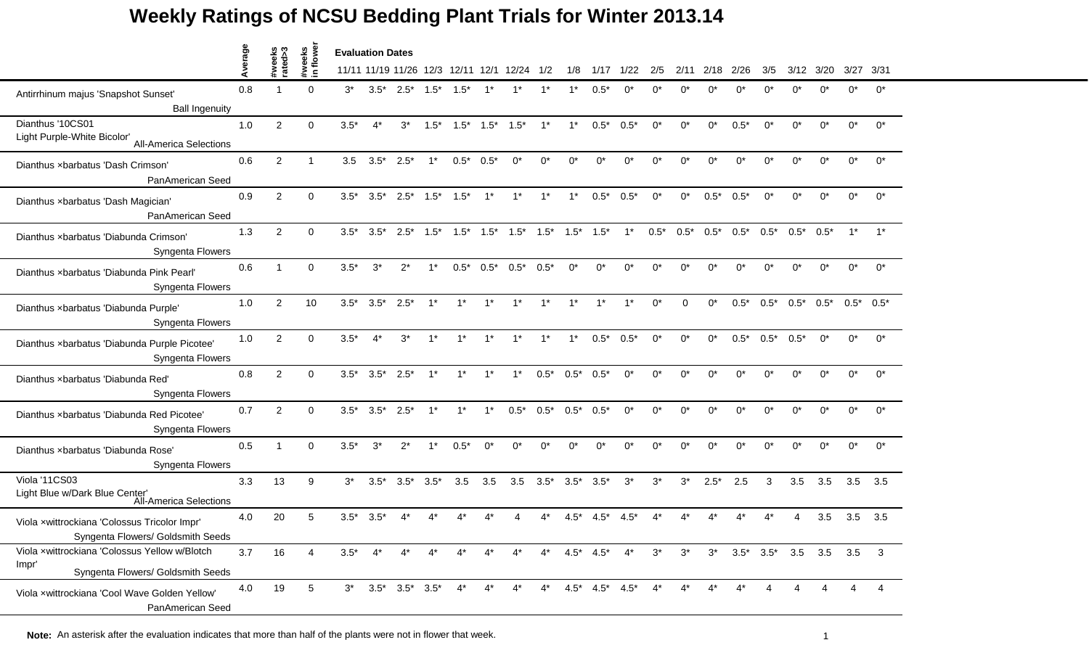## **Weekly Ratings of NCSU Bedding Plant Trials for Winter 2013.14**

|                                                                                             |         |                   |                         | <b>Evaluation Dates</b> |              |                                       |        |              |         |                                                         |                 |                 |                 |        |            |             |        |                                         |        |                          |                |              |                         |
|---------------------------------------------------------------------------------------------|---------|-------------------|-------------------------|-------------------------|--------------|---------------------------------------|--------|--------------|---------|---------------------------------------------------------|-----------------|-----------------|-----------------|--------|------------|-------------|--------|-----------------------------------------|--------|--------------------------|----------------|--------------|-------------------------|
|                                                                                             | Average | #weeks<br>rated>3 | #weeks<br>in flowe      |                         |              | 11/11 11/19 11/26 12/3                |        |              |         | 12/11 12/1 12/24                                        | 1/2             | 1/8             | 1/17            | 1/22   | 2/5        | 2/11        | 2/18   | 2/26                                    | 3/5    | 3/12                     | 3/20           | 3/27         | -3/31                   |
| Antirrhinum majus 'Snapshot Sunset'<br><b>Ball Ingenuity</b>                                | 0.8     |                   | $\Omega$                | $3^*$                   |              | $3.5^*$ $2.5^*$ $1.5^*$               |        | $1.5*$       | $1^*$   |                                                         | 1*              |                 | $0.5*$          | ሰ*     | $^{\circ}$ | ሰ*          | n*     |                                         |        | n*                       | ∩*             | ∩*           | $0^*$                   |
| Dianthus '10CS01<br>Light Purple-White Bicolor'<br><b>All-America Selections</b>            | 1.0     | $\overline{c}$    | $\mathbf 0$             | $3.5*$                  | $4^*$        | $3^*$                                 | $1.5*$ | $1.5*$       | $1.5*$  | $1.5*$                                                  | $1^*$           | $1^*$           | $0.5*$          | $0.5*$ | $0^*$      | $0^*$       | $0^*$  | $0.5*$                                  | $0^*$  | $0^*$                    | $0^*$          | $0^*$        | $0^*$                   |
| Dianthus xbarbatus 'Dash Crimson'<br>PanAmerican Seed                                       | 0.6     | $\overline{2}$    | $\overline{\mathbf{1}}$ | 3.5                     |              | $3.5^*$ 2.5*                          | $1^*$  | $0.5^*$ 0.5* |         | $0^*$                                                   | $0^*$           | $0^*$           | $0^*$           | 0*     | $0^*$      | $0^*$       | 0*     | $0^*$                                   | $0^*$  | 0*                       | $0^*$          | $0^*$        | $0^*$                   |
| Dianthus xbarbatus 'Dash Magician'<br>PanAmerican Seed                                      | 0.9     | $\overline{2}$    | $\Omega$                | $3.5*$                  |              | $3.5^*$ $2.5^*$ $1.5^*$ $1.5^*$ $1^*$ |        |              |         | $1^*$                                                   | $1^*$           | $1^*$           | $0.5*$          | $0.5*$ | $0^*$      | $0^*$       | $0.5*$ | $0.5*$                                  | $0^*$  | 0*                       | $0^*$          | $0^*$        | $0^*$                   |
| Dianthus xbarbatus 'Diabunda Crimson'<br>Syngenta Flowers                                   | 1.3     | $\overline{2}$    | $\Omega$                | $3.5*$                  | $3.5*$       | $2.5^*$ 1.5*                          |        |              |         | $1.5^*$ $1.5^*$ $1.5^*$ $1.5^*$ $1.5^*$ $1.5^*$ $1.5^*$ |                 |                 |                 | $1^*$  | $0.5*$     | $0.5*$      | $0.5*$ | $0.5*$                                  | $0.5*$ | $0.5*$                   | $0.5*$         | $1^*$        | $1^*$                   |
| Dianthus xbarbatus 'Diabunda Pink Pearl'<br>Syngenta Flowers                                | 0.6     |                   | $\Omega$                | $3.5*$                  | $3^*$        | $2^*$                                 | $1^*$  | $0.5*$       | $0.5^*$ | $0.5^*$                                                 | $0.5*$          | $0^*$           | $0^*$           | $0^*$  | $0^*$      | $0^*$       | $0^*$  | $0^*$                                   | $0^*$  | $0^*$                    | $0^*$          | $0^*$        | $0^*$                   |
| Dianthus xbarbatus 'Diabunda Purple'<br>Syngenta Flowers                                    | 1.0     | 2                 | 10                      | $3.5*$                  | $3.5*$       | $2.5*$                                | $1^*$  | $1^*$        | $1^*$   | $1^*$                                                   | $1^*$           | $1^*$           | $1^*$           | $1^*$  | $0^*$      | $\Omega$    | $0^*$  | $0.5*$                                  | $0.5*$ | $0.5*$                   | $0.5^*$        | $0.5^*$ 0.5* |                         |
| Dianthus xbarbatus 'Diabunda Purple Picotee'<br>Syngenta Flowers                            | 1.0     | 2                 | $\Omega$                | $3.5*$                  | $4^*$        | $3^*$                                 | $1^*$  | $1^*$        | $1^*$   | $1^*$                                                   | $1^*$           | $1^*$           | $0.5^*$ 0.5*    |        | $0^*$      | $0^*$       | $0^*$  | $0.5*$                                  | $0.5*$ | $0.5*$                   | $0^*$          | $0^*$        | $0^*$                   |
| Dianthus xbarbatus 'Diabunda Red'<br>Syngenta Flowers                                       | 0.8     | $\overline{2}$    | $\Omega$                | $3.5*$                  | $3.5*$       | $2.5*$                                | $1^*$  | $1^*$        | $1^*$   | $1^*$                                                   | $0.5*$          | $0.5^*$         | $0.5*$          | $0^*$  | $0^*$      | $^{\wedge}$ | n*     |                                         |        | ሰ*                       | $^{\circ}$     | $^{\circ}$   | $0^*$                   |
| Dianthus xbarbatus 'Diabunda Red Picotee'<br>Syngenta Flowers                               | 0.7     | 2                 | $\Omega$                | $3.5*$                  | $3.5^*$ 2.5* |                                       | $1^*$  | $1^*$        | $1^*$   | $0.5^*$                                                 | $0.5^*$ 0.5*    |                 | $0.5*$          | $0^*$  | $0^*$      | $0^*$       | $0^*$  | $0^*$                                   | $0^*$  | $0^*$                    | $0^*$          | $0^*$        | $0^*$                   |
| Dianthus xbarbatus 'Diabunda Rose'<br>Syngenta Flowers                                      | 0.5     |                   | $\Omega$                | $3.5*$                  | $3^*$        | $2^*$                                 | $1^*$  | $0.5*$       | $0^*$   | $0^*$                                                   | $0^*$           | 0*              | $0^*$           | 0*     | $0^*$      | $0^*$       | 0*     | $0^*$                                   | $0^*$  | 0*                       | $0^*$          | $0^*$        | $0^*$                   |
| Viola '11CS03<br>Light Blue w/Dark Blue Center'<br>All-America Selections                   | 3.3     | 13                | 9                       | $3^*$                   | $3.5*$       | $3.5*$                                | $3.5*$ | 3.5          | 3.5     | 3.5                                                     | $3.5^*$ $3.5^*$ |                 | $3.5*$          | $3^*$  | $3^*$      | $3^{\ast}$  | $2.5*$ | 2.5                                     | 3      | 3.5                      | 3.5            | 3.5          | 3.5                     |
| Viola xwittrockiana 'Colossus Tricolor Impr'<br>Syngenta Flowers/ Goldsmith Seeds           | 4.0     | 20                | 5                       | $3.5*$                  | $3.5^*$      |                                       |        |              |         |                                                         |                 |                 | 4.5'            |        |            |             |        |                                         |        |                          | 3.5            | 3.5          | 3.5                     |
| Viola xwittrockiana 'Colossus Yellow w/Blotch<br>Impr'<br>Syngenta Flowers/ Goldsmith Seeds | 3.7     | 16                | 4                       | $3.5*$                  | $4^*$        | $4^*$                                 | $4^*$  | $4^*$        | $4^*$   | $4^*$                                                   | $4^*$           | $4.5^*$ $4.5^*$ |                 | $4^*$  | $3^*$      | $3^*$       |        | $3^*$ $3.5^*$ $3.5^*$ $3.5$ $3.5$ $3.5$ |        |                          |                |              | $\overline{\mathbf{3}}$ |
| Viola xwittrockiana 'Cool Wave Golden Yellow'<br>PanAmerican Seed                           | 4.0     | 19                | 5                       | $3^*$                   |              | $3.5^*$ $3.5^*$ $3.5^*$               |        | $4^*$        | $4^*$   | $4^*$                                                   | $4^*$           |                 | $4.5^*$ $4.5^*$ | $4.5*$ | $4^*$      |             | 4*     |                                         |        | $\boldsymbol{\varDelta}$ | $\overline{4}$ |              | 4                       |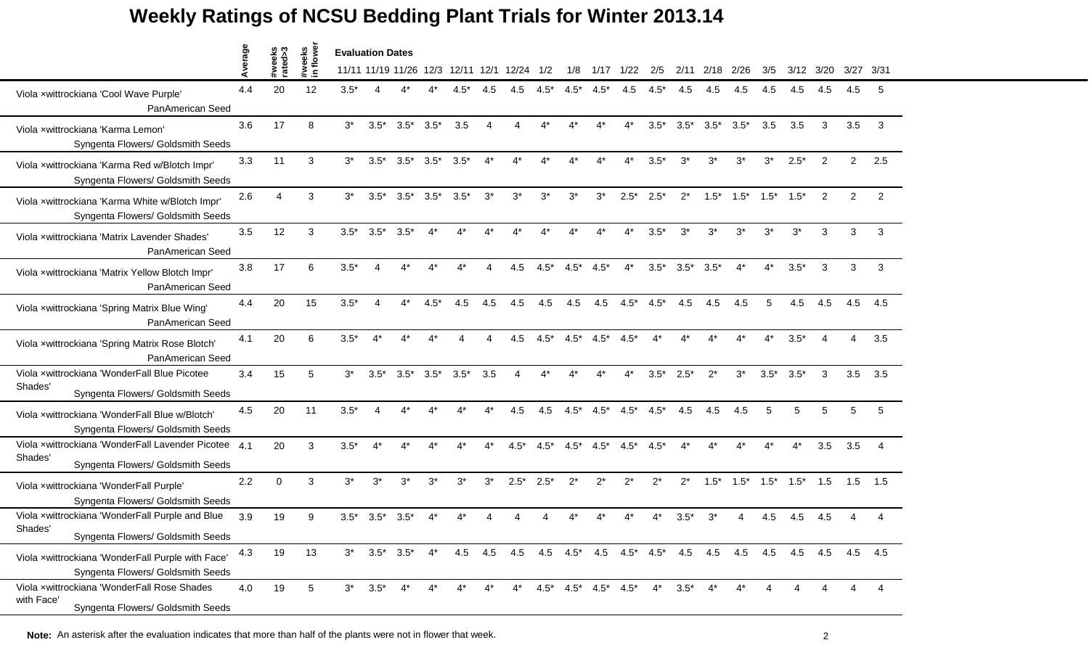## **Weekly Ratings of NCSU Bedding Plant Trials for Winter 2013.14**

|                                                                                                  | erage |                   |                    | <b>Evaluation Dates</b> |                 |                 |        |        |       |                                             |        |                         |        |        |        |        |        |        |        |        |      |      |                |
|--------------------------------------------------------------------------------------------------|-------|-------------------|--------------------|-------------------------|-----------------|-----------------|--------|--------|-------|---------------------------------------------|--------|-------------------------|--------|--------|--------|--------|--------|--------|--------|--------|------|------|----------------|
|                                                                                                  | ⋖     | #weeks<br>rated>3 | #weeks<br>in flowe |                         |                 |                 |        |        |       | 11/11 11/19 11/26 12/3 12/11 12/1 12/24 1/2 |        | 1/8                     | 1/17   | 1/22   | 2/5    | 2/11   | 2/18   | 2/26   | 3/5    | 3/12   | 3/20 | 3/27 | -3/31          |
| Viola xwittrockiana 'Cool Wave Purple'<br>PanAmerican Seed                                       | 4.4   | 20                | 12                 | $3.5*$                  |                 |                 |        | 4.5*   |       | 4.5                                         | $4.5*$ | $4.5*$                  | $4.5*$ | 4.5    | $4.5*$ | 4.5    | 4.5    | 4.5    | 4.5    | 4.5    | 4.5  | 4.5  | -5             |
| Viola xwittrockiana 'Karma Lemon'<br>Syngenta Flowers/ Goldsmith Seeds                           | 3.6   | 17                | 8                  | $3^*$                   | $3.5*$          | $3.5^*$         | $3.5*$ | 3.5    | 4     | Δ                                           | $4^*$  | $4^*$                   | $4^*$  | 4*     | $3.5*$ | $3.5*$ | $3.5*$ | $3.5*$ | 3.5    | 3.5    | 3    | 3.5  | 3              |
| Viola xwittrockiana 'Karma Red w/Blotch Impr'<br>Syngenta Flowers/ Goldsmith Seeds               | 3.3   | 11                | 3                  | $3^*$                   | $3.5*$          | $3.5^*$ $3.5^*$ |        | $3.5*$ | $4^*$ | $4^*$                                       |        |                         |        | 4*     | $3.5*$ | $3^*$  | $3^*$  | $3^*$  | $3^*$  | $2.5*$ | 2    | 2    | 2.5            |
| Viola xwittrockiana 'Karma White w/Blotch Impr'<br>Syngenta Flowers/ Goldsmith Seeds             | 2.6   | Δ                 | 3                  | $3^*$                   |                 | $3.5^*$ $3.5^*$ | $3.5*$ | $3.5*$ | $3^*$ | $3^*$                                       | $3^*$  | $3^*$                   | $3^*$  | $2.5*$ | $2.5*$ | $2^*$  | $1.5*$ | $1.5*$ | $1.5*$ | $1.5*$ | 2    | 2    | 2              |
| Viola xwittrockiana 'Matrix Lavender Shades'<br>PanAmerican Seed                                 | 3.5   | 12                | 3                  | $3.5*$                  | $3.5*$          | $3.5^*$         |        |        |       |                                             |        |                         |        |        | $3.5*$ | $3^*$  | $3^*$  | $3^*$  | $3^*$  | $3^*$  | 3    | 3    | 3              |
| Viola xwittrockiana 'Matrix Yellow Blotch Impr'<br>PanAmerican Seed                              | 3.8   | 17                | 6                  | $3.5*$                  | Δ               | $4^*$           | $4^*$  | $4^*$  | 4     | 4.5                                         | $4.5*$ | $4.5*$                  | $4.5*$ | $4^*$  | $3.5*$ | $3.5*$ | $3.5*$ | $4^*$  | $4^*$  | $3.5*$ | 3    | 3    | 3              |
| Viola xwittrockiana 'Spring Matrix Blue Wing'<br>PanAmerican Seed                                | 4.4   | 20                | 15                 | $3.5*$                  |                 | 4*              | $4.5*$ | 4.5    | 4.5   | 4.5                                         | 4.5    | 4.5                     | 4.5    | $4.5*$ | $4.5*$ | 4.5    | 4.5    | 4.5    | 5      | 4.5    | 4.5  | 4.5  | 4.5            |
| Viola xwittrockiana 'Spring Matrix Rose Blotch'<br>PanAmerican Seed                              | 4.1   | 20                | 6                  | $3.5*$                  | $4^*$           | 4*              |        |        | Δ     | 4.5                                         | $4.5*$ | $4.5*$                  | $4.5*$ | $4.5*$ |        | $4^*$  | 4*     | 4*     | $4^*$  | $3.5*$ |      | 4    | 3.5            |
| Viola xwittrockiana 'WonderFall Blue Picotee<br>Shades'<br>Syngenta Flowers/ Goldsmith Seeds     | 3.4   | 15                | 5                  | $3^*$                   | $3.5*$          | $3.5^*$         | $3.5*$ | $3.5*$ | 3.5   |                                             |        |                         |        |        | $3.5*$ | $2.5*$ | $2^*$  | $3^*$  | $3.5*$ | $3.5*$ | 3    |      | $3.5\quad 3.5$ |
| Viola xwittrockiana 'WonderFall Blue w/Blotch'<br>Syngenta Flowers/ Goldsmith Seeds              | 4.5   | 20                | 11                 | $3.5*$                  | 4               | $4^*$           | $4^*$  | $4^*$  | $4^*$ | 4.5                                         | 4.5    | $4.5*$                  | $4.5*$ | $4.5*$ | $4.5*$ | 4.5    | 4.5    | 4.5    | 5      | 5      | 5    | 5    | 5              |
| Viola xwittrockiana 'WonderFall Lavender Picotee<br>Shades'<br>Syngenta Flowers/ Goldsmith Seeds | 4.1   | 20                | 3                  | $3.5*$                  |                 |                 |        |        |       | $4.5*$                                      | $4.5*$ | $4.5*$                  | $4.5*$ | $4.5*$ | $4.5*$ |        |        |        | $4^*$  | 4*     | 3.5  | 3.5  | $\overline{4}$ |
| Viola xwittrockiana 'WonderFall Purple'<br>Syngenta Flowers/ Goldsmith Seeds                     | 2.2   | $\Omega$          | 3                  | $3^*$                   | $3^*$           | $3^*$           | $3^*$  | $3^*$  | $3^*$ | $2.5*$                                      | $2.5*$ | $2^*$                   | $2^*$  | $2^*$  | $2^*$  | $2^*$  | $1.5*$ | $1.5*$ | $1.5*$ | $1.5*$ | 1.5  | 1.5  | 1.5            |
| Viola xwittrockiana 'WonderFall Purple and Blue<br>Shades'<br>Syngenta Flowers/ Goldsmith Seeds  | 3.9   | 19                | 9                  | $3.5*$                  | $3.5^*$ $3.5^*$ |                 |        |        |       |                                             |        |                         |        |        |        | $3.5*$ | 3*     |        | 4.5    | 4.5    | 4.5  |      |                |
| Viola xwittrockiana 'WonderFall Purple with Face'<br>Syngenta Flowers/ Goldsmith Seeds           | 4.3   | 19                | 13                 | $3^*$                   |                 | $3.5^*$ $3.5^*$ | $4^*$  | 4.5    |       |                                             |        |                         |        |        |        |        |        |        | 4.5    | 4.5    | 4.5  |      | 4.5 4.5        |
| Viola xwittrockiana 'WonderFall Rose Shades<br>with Face'<br>Syngenta Flowers/ Goldsmith Seeds   | 4.0   | 19                | 5                  | $3^*$                   | $3.5*$          |                 |        |        |       |                                             |        | $4.5^*$ $4.5^*$ $4.5^*$ |        | $4.5*$ | $4^*$  | $3.5*$ |        |        |        |        |      |      |                |

**Note:** An asterisk after the evaluation indicates that more than half of the plants were not in flower that week. 2